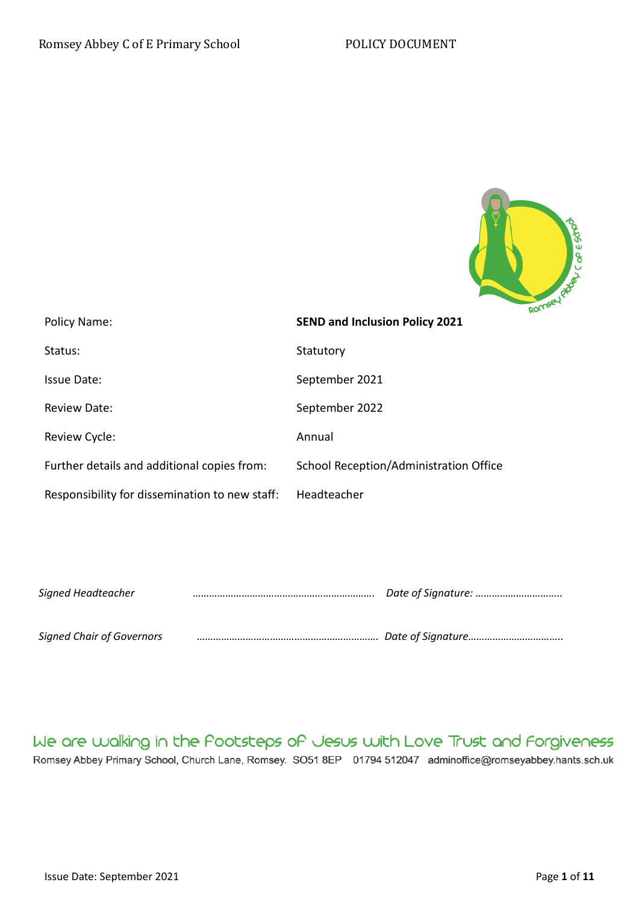

| Policy Name:                                   | <b>SEND and Inclusion Policy 2021</b>  |
|------------------------------------------------|----------------------------------------|
| Status:                                        | Statutory                              |
| Issue Date:                                    | September 2021                         |
| <b>Review Date:</b>                            | September 2022                         |
| Review Cycle:                                  | Annual                                 |
| Further details and additional copies from:    | School Reception/Administration Office |
| Responsibility for dissemination to new staff: | Headteacher                            |

| Signed Headteacher               |  |
|----------------------------------|--|
| <b>Signed Chair of Governors</b> |  |

We are walking in the Pootsteps of Jesus with Love Trust and Forgiveness Romsey Abbey Primary School, Church Lane, Romsey. SO51 8EP 01794 512047 adminoffice@romseyabbey.hants.sch.uk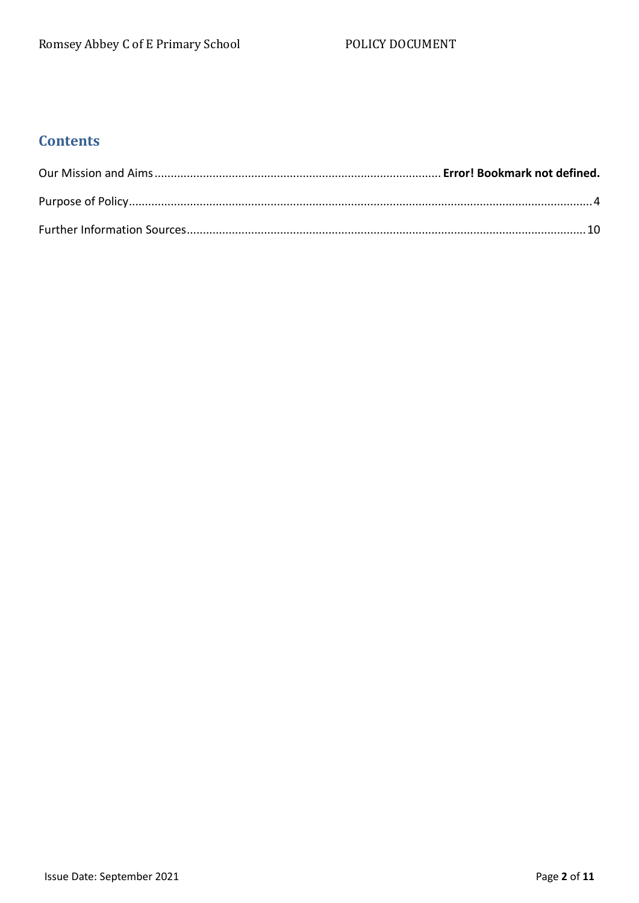# **Contents**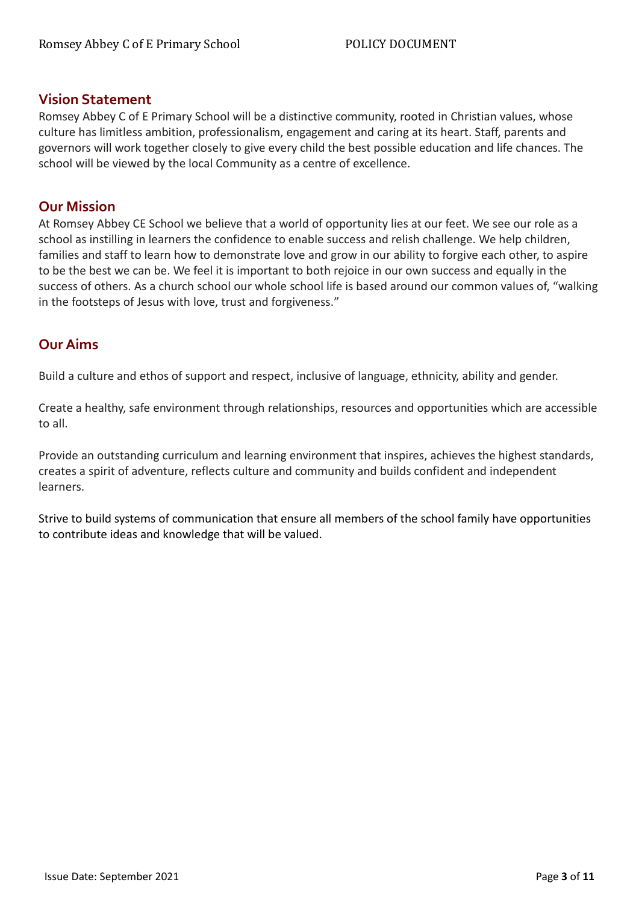## **Vision Statement**

Romsey Abbey C of E Primary School will be a distinctive community, rooted in Christian values, whose culture has limitless ambition, professionalism, engagement and caring at its heart. Staff, parents and governors will work together closely to give every child the best possible education and life chances. The school will be viewed by the local Community as a centre of excellence.

# **Our Mission**

At Romsey Abbey CE School we believe that a world of opportunity lies at our feet. We see our role as a school as instilling in learners the confidence to enable success and relish challenge. We help children, families and staff to learn how to demonstrate love and grow in our ability to forgive each other, to aspire to be the best we can be. We feel it is important to both rejoice in our own success and equally in the success of others. As a church school our whole school life is based around our common values of, "walking in the footsteps of Jesus with love, trust and forgiveness."

# **Our Aims**

Build a culture and ethos of support and respect, inclusive of language, ethnicity, ability and gender.

Create a healthy, safe environment through relationships, resources and opportunities which are accessible to all.

Provide an outstanding curriculum and learning environment that inspires, achieves the highest standards, creates a spirit of adventure, reflects culture and community and builds confident and independent learners.

Strive to build systems of communication that ensure all members of the school family have opportunities to contribute ideas and knowledge that will be valued.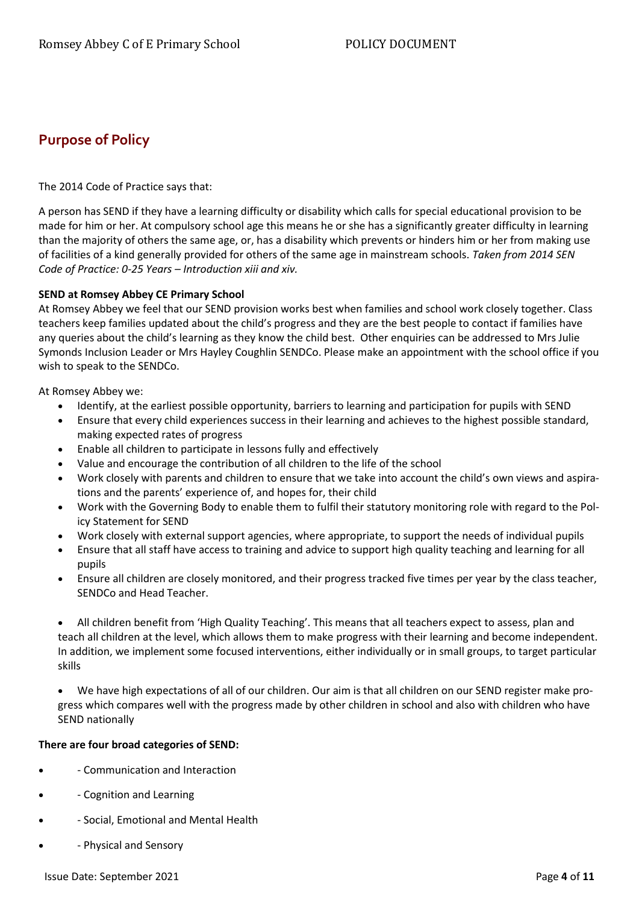# <span id="page-3-0"></span>**Purpose of Policy**

The 2014 Code of Practice says that:

A person has SEND if they have a learning difficulty or disability which calls for special educational provision to be made for him or her. At compulsory school age this means he or she has a significantly greater difficulty in learning than the majority of others the same age, or, has a disability which prevents or hinders him or her from making use of facilities of a kind generally provided for others of the same age in mainstream schools. *Taken from 2014 SEN Code of Practice: 0-25 Years – Introduction xiii and xiv.*

### **SEND at Romsey Abbey CE Primary School**

At Romsey Abbey we feel that our SEND provision works best when families and school work closely together. Class teachers keep families updated about the child's progress and they are the best people to contact if families have any queries about the child's learning as they know the child best. Other enquiries can be addressed to Mrs Julie Symonds Inclusion Leader or Mrs Hayley Coughlin SENDCo. Please make an appointment with the school office if you wish to speak to the SENDCo.

At Romsey Abbey we:

- Identify, at the earliest possible opportunity, barriers to learning and participation for pupils with SEND
- Ensure that every child experiences success in their learning and achieves to the highest possible standard, making expected rates of progress
- Enable all children to participate in lessons fully and effectively
- Value and encourage the contribution of all children to the life of the school
- Work closely with parents and children to ensure that we take into account the child's own views and aspirations and the parents' experience of, and hopes for, their child
- Work with the Governing Body to enable them to fulfil their statutory monitoring role with regard to the Policy Statement for SEND
- Work closely with external support agencies, where appropriate, to support the needs of individual pupils
- Ensure that all staff have access to training and advice to support high quality teaching and learning for all pupils
- Ensure all children are closely monitored, and their progress tracked five times per year by the class teacher, SENDCo and Head Teacher.
- All children benefit from 'High Quality Teaching'. This means that all teachers expect to assess, plan and teach all children at the level, which allows them to make progress with their learning and become independent. In addition, we implement some focused interventions, either individually or in small groups, to target particular skills

• We have high expectations of all of our children. Our aim is that all children on our SEND register make progress which compares well with the progress made by other children in school and also with children who have SEND nationally

### **There are four broad categories of SEND:**

- - Communication and Interaction
- - Cognition and Learning
- - Social, Emotional and Mental Health
- - Physical and Sensory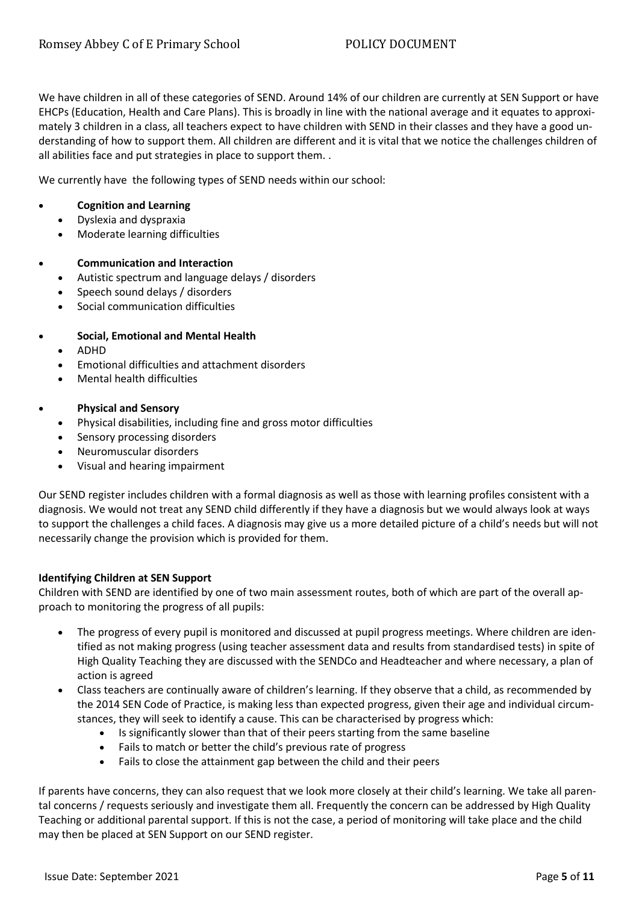We have children in all of these categories of SEND. Around 14% of our children are currently at SEN Support or have EHCPs (Education, Health and Care Plans). This is broadly in line with the national average and it equates to approximately 3 children in a class, all teachers expect to have children with SEND in their classes and they have a good understanding of how to support them. All children are different and it is vital that we notice the challenges children of all abilities face and put strategies in place to support them. .

We currently have the following types of SEND needs within our school:

### • **Cognition and Learning**

- Dyslexia and dyspraxia
- Moderate learning difficulties

### • **Communication and Interaction**

- Autistic spectrum and language delays / disorders
- Speech sound delays / disorders
- Social communication difficulties

### • **Social, Emotional and Mental Health**

- ADHD
- Emotional difficulties and attachment disorders
- Mental health difficulties

### • **Physical and Sensory**

- Physical disabilities, including fine and gross motor difficulties
- Sensory processing disorders
- Neuromuscular disorders
- Visual and hearing impairment

Our SEND register includes children with a formal diagnosis as well as those with learning profiles consistent with a diagnosis. We would not treat any SEND child differently if they have a diagnosis but we would always look at ways to support the challenges a child faces. A diagnosis may give us a more detailed picture of a child's needs but will not necessarily change the provision which is provided for them.

### **Identifying Children at SEN Support**

Children with SEND are identified by one of two main assessment routes, both of which are part of the overall approach to monitoring the progress of all pupils:

- The progress of every pupil is monitored and discussed at pupil progress meetings. Where children are identified as not making progress (using teacher assessment data and results from standardised tests) in spite of High Quality Teaching they are discussed with the SENDCo and Headteacher and where necessary, a plan of action is agreed
- Class teachers are continually aware of children's learning. If they observe that a child, as recommended by the 2014 SEN Code of Practice, is making less than expected progress, given their age and individual circumstances, they will seek to identify a cause. This can be characterised by progress which:
	- Is significantly slower than that of their peers starting from the same baseline
	- Fails to match or better the child's previous rate of progress
	- Fails to close the attainment gap between the child and their peers

If parents have concerns, they can also request that we look more closely at their child's learning. We take all parental concerns / requests seriously and investigate them all. Frequently the concern can be addressed by High Quality Teaching or additional parental support. If this is not the case, a period of monitoring will take place and the child may then be placed at SEN Support on our SEND register.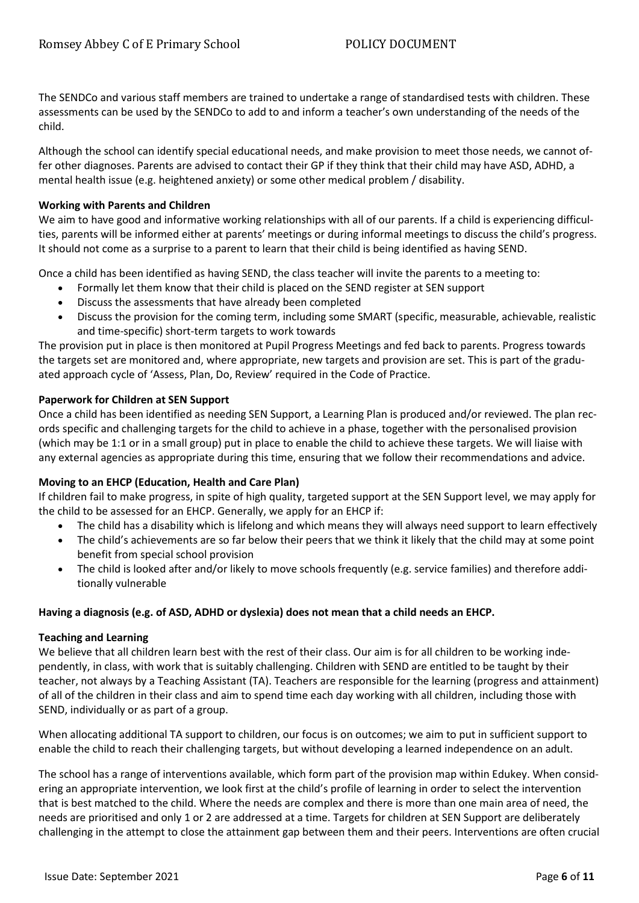The SENDCo and various staff members are trained to undertake a range of standardised tests with children. These assessments can be used by the SENDCo to add to and inform a teacher's own understanding of the needs of the child.

Although the school can identify special educational needs, and make provision to meet those needs, we cannot offer other diagnoses. Parents are advised to contact their GP if they think that their child may have ASD, ADHD, a mental health issue (e.g. heightened anxiety) or some other medical problem / disability.

### **Working with Parents and Children**

We aim to have good and informative working relationships with all of our parents. If a child is experiencing difficulties, parents will be informed either at parents' meetings or during informal meetings to discuss the child's progress. It should not come as a surprise to a parent to learn that their child is being identified as having SEND.

Once a child has been identified as having SEND, the class teacher will invite the parents to a meeting to:

- Formally let them know that their child is placed on the SEND register at SEN support
- Discuss the assessments that have already been completed
- Discuss the provision for the coming term, including some SMART (specific, measurable, achievable, realistic and time-specific) short-term targets to work towards

The provision put in place is then monitored at Pupil Progress Meetings and fed back to parents. Progress towards the targets set are monitored and, where appropriate, new targets and provision are set. This is part of the graduated approach cycle of 'Assess, Plan, Do, Review' required in the Code of Practice.

### **Paperwork for Children at SEN Support**

Once a child has been identified as needing SEN Support, a Learning Plan is produced and/or reviewed. The plan records specific and challenging targets for the child to achieve in a phase, together with the personalised provision (which may be 1:1 or in a small group) put in place to enable the child to achieve these targets. We will liaise with any external agencies as appropriate during this time, ensuring that we follow their recommendations and advice.

### **Moving to an EHCP (Education, Health and Care Plan)**

If children fail to make progress, in spite of high quality, targeted support at the SEN Support level, we may apply for the child to be assessed for an EHCP. Generally, we apply for an EHCP if:

- The child has a disability which is lifelong and which means they will always need support to learn effectively
- The child's achievements are so far below their peers that we think it likely that the child may at some point benefit from special school provision
- The child is looked after and/or likely to move schools frequently (e.g. service families) and therefore additionally vulnerable

### **Having a diagnosis (e.g. of ASD, ADHD or dyslexia) does not mean that a child needs an EHCP.**

### **Teaching and Learning**

We believe that all children learn best with the rest of their class. Our aim is for all children to be working independently, in class, with work that is suitably challenging. Children with SEND are entitled to be taught by their teacher, not always by a Teaching Assistant (TA). Teachers are responsible for the learning (progress and attainment) of all of the children in their class and aim to spend time each day working with all children, including those with SEND, individually or as part of a group.

When allocating additional TA support to children, our focus is on outcomes; we aim to put in sufficient support to enable the child to reach their challenging targets, but without developing a learned independence on an adult.

The school has a range of interventions available, which form part of the provision map within Edukey. When considering an appropriate intervention, we look first at the child's profile of learning in order to select the intervention that is best matched to the child. Where the needs are complex and there is more than one main area of need, the needs are prioritised and only 1 or 2 are addressed at a time. Targets for children at SEN Support are deliberately challenging in the attempt to close the attainment gap between them and their peers. Interventions are often crucial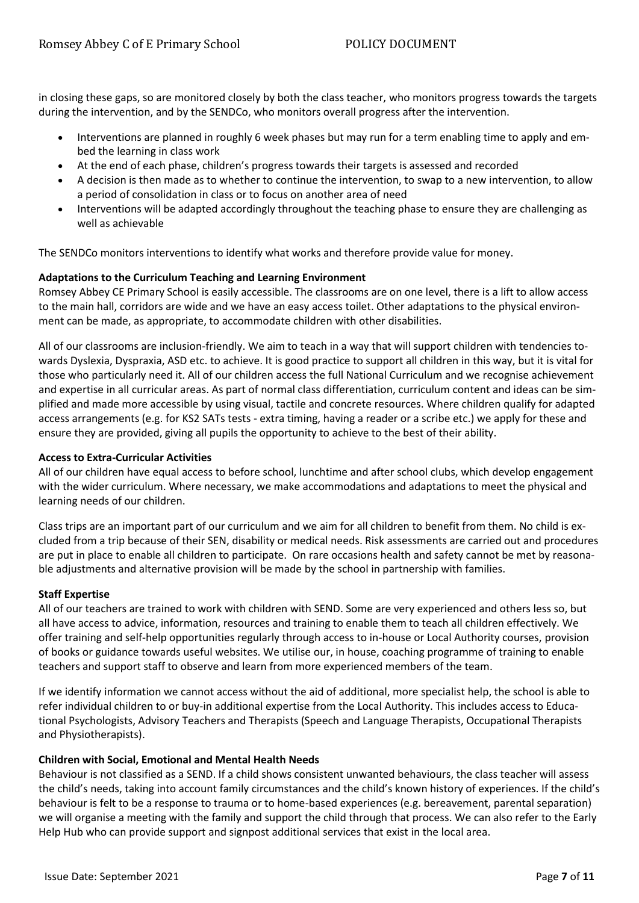in closing these gaps, so are monitored closely by both the class teacher, who monitors progress towards the targets during the intervention, and by the SENDCo, who monitors overall progress after the intervention.

- Interventions are planned in roughly 6 week phases but may run for a term enabling time to apply and embed the learning in class work
- At the end of each phase, children's progress towards their targets is assessed and recorded
- A decision is then made as to whether to continue the intervention, to swap to a new intervention, to allow a period of consolidation in class or to focus on another area of need
- Interventions will be adapted accordingly throughout the teaching phase to ensure they are challenging as well as achievable

The SENDCo monitors interventions to identify what works and therefore provide value for money.

### **Adaptations to the Curriculum Teaching and Learning Environment**

Romsey Abbey CE Primary School is easily accessible. The classrooms are on one level, there is a lift to allow access to the main hall, corridors are wide and we have an easy access toilet. Other adaptations to the physical environment can be made, as appropriate, to accommodate children with other disabilities.

All of our classrooms are inclusion-friendly. We aim to teach in a way that will support children with tendencies towards Dyslexia, Dyspraxia, ASD etc. to achieve. It is good practice to support all children in this way, but it is vital for those who particularly need it. All of our children access the full National Curriculum and we recognise achievement and expertise in all curricular areas. As part of normal class differentiation, curriculum content and ideas can be simplified and made more accessible by using visual, tactile and concrete resources. Where children qualify for adapted access arrangements (e.g. for KS2 SATs tests - extra timing, having a reader or a scribe etc.) we apply for these and ensure they are provided, giving all pupils the opportunity to achieve to the best of their ability.

### **Access to Extra-Curricular Activities**

All of our children have equal access to before school, lunchtime and after school clubs, which develop engagement with the wider curriculum. Where necessary, we make accommodations and adaptations to meet the physical and learning needs of our children.

Class trips are an important part of our curriculum and we aim for all children to benefit from them. No child is excluded from a trip because of their SEN, disability or medical needs. Risk assessments are carried out and procedures are put in place to enable all children to participate. On rare occasions health and safety cannot be met by reasonable adjustments and alternative provision will be made by the school in partnership with families.

### **Staff Expertise**

All of our teachers are trained to work with children with SEND. Some are very experienced and others less so, but all have access to advice, information, resources and training to enable them to teach all children effectively. We offer training and self-help opportunities regularly through access to in-house or Local Authority courses, provision of books or guidance towards useful websites. We utilise our, in house, coaching programme of training to enable teachers and support staff to observe and learn from more experienced members of the team.

If we identify information we cannot access without the aid of additional, more specialist help, the school is able to refer individual children to or buy-in additional expertise from the Local Authority. This includes access to Educational Psychologists, Advisory Teachers and Therapists (Speech and Language Therapists, Occupational Therapists and Physiotherapists).

### **Children with Social, Emotional and Mental Health Needs**

Behaviour is not classified as a SEND. If a child shows consistent unwanted behaviours, the class teacher will assess the child's needs, taking into account family circumstances and the child's known history of experiences. If the child's behaviour is felt to be a response to trauma or to home-based experiences (e.g. bereavement, parental separation) we will organise a meeting with the family and support the child through that process. We can also refer to the Early Help Hub who can provide support and signpost additional services that exist in the local area.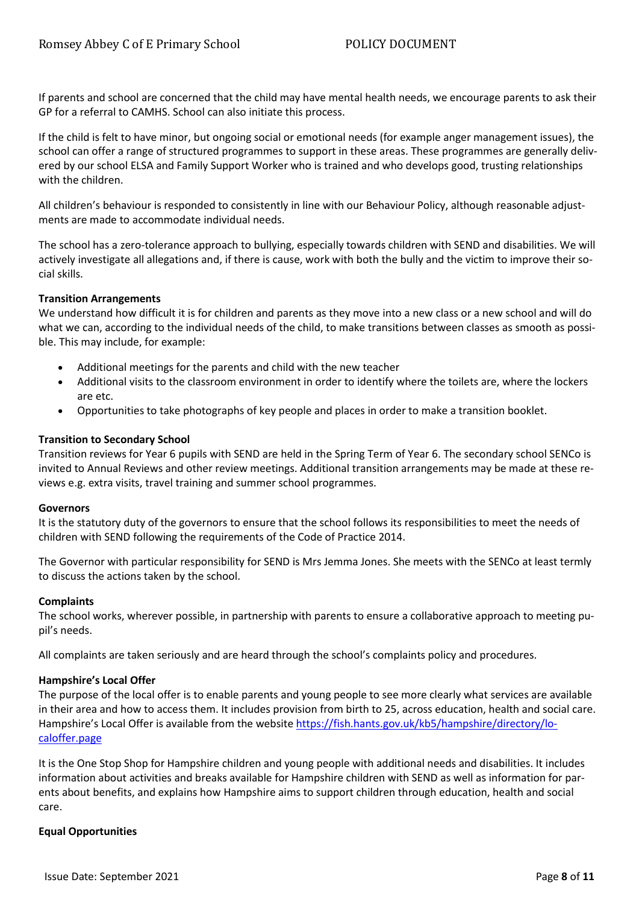If parents and school are concerned that the child may have mental health needs, we encourage parents to ask their GP for a referral to CAMHS. School can also initiate this process.

If the child is felt to have minor, but ongoing social or emotional needs (for example anger management issues), the school can offer a range of structured programmes to support in these areas. These programmes are generally delivered by our school ELSA and Family Support Worker who is trained and who develops good, trusting relationships with the children.

All children's behaviour is responded to consistently in line with our Behaviour Policy, although reasonable adjustments are made to accommodate individual needs.

The school has a zero-tolerance approach to bullying, especially towards children with SEND and disabilities. We will actively investigate all allegations and, if there is cause, work with both the bully and the victim to improve their social skills.

### **Transition Arrangements**

We understand how difficult it is for children and parents as they move into a new class or a new school and will do what we can, according to the individual needs of the child, to make transitions between classes as smooth as possible. This may include, for example:

- Additional meetings for the parents and child with the new teacher
- Additional visits to the classroom environment in order to identify where the toilets are, where the lockers are etc.
- Opportunities to take photographs of key people and places in order to make a transition booklet.

### **Transition to Secondary School**

Transition reviews for Year 6 pupils with SEND are held in the Spring Term of Year 6. The secondary school SENCo is invited to Annual Reviews and other review meetings. Additional transition arrangements may be made at these reviews e.g. extra visits, travel training and summer school programmes.

### **Governors**

It is the statutory duty of the governors to ensure that the school follows its responsibilities to meet the needs of children with SEND following the requirements of the Code of Practice 2014.

The Governor with particular responsibility for SEND is Mrs Jemma Jones. She meets with the SENCo at least termly to discuss the actions taken by the school.

### **Complaints**

The school works, wherever possible, in partnership with parents to ensure a collaborative approach to meeting pupil's needs.

All complaints are taken seriously and are heard through the school's complaints policy and procedures.

### **Hampshire's Local Offer**

The purpose of the local offer is to enable parents and young people to see more clearly what services are available in their area and how to access them. It includes provision from birth to 25, across education, health and social care. Hampshire's Local Offer is available from the website [https://fish.hants.gov.uk/kb5/hampshire/directory/lo](https://fish.hants.gov.uk/kb5/hampshire/directory/localoffer.page)[caloffer.page](https://fish.hants.gov.uk/kb5/hampshire/directory/localoffer.page)

It is the One Stop Shop for Hampshire children and young people with additional needs and disabilities. It includes information about activities and breaks available for Hampshire children with SEND as well as information for parents about benefits, and explains how Hampshire aims to support children through education, health and social care.

### **Equal Opportunities**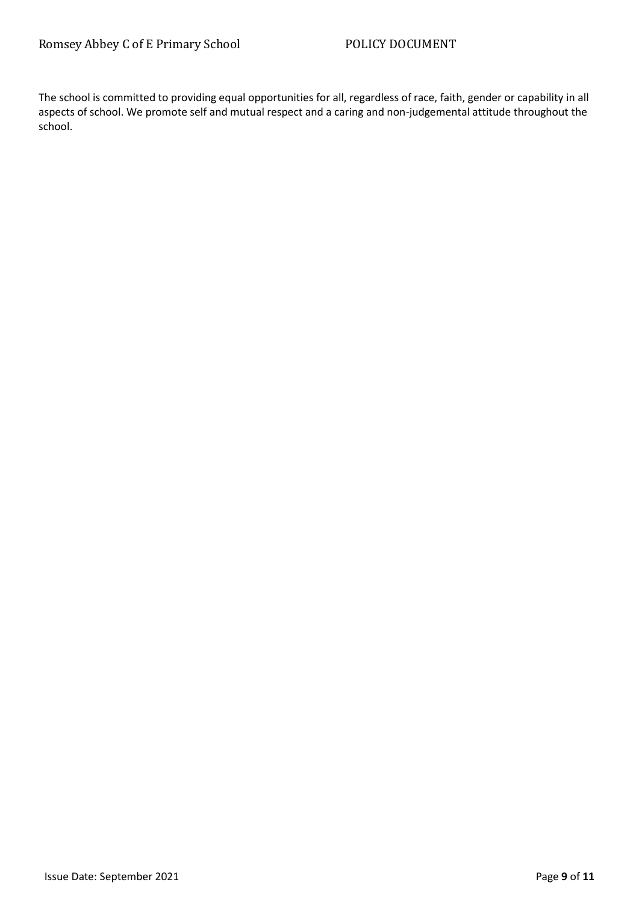The school is committed to providing equal opportunities for all, regardless of race, faith, gender or capability in all aspects of school. We promote self and mutual respect and a caring and non-judgemental attitude throughout the school.